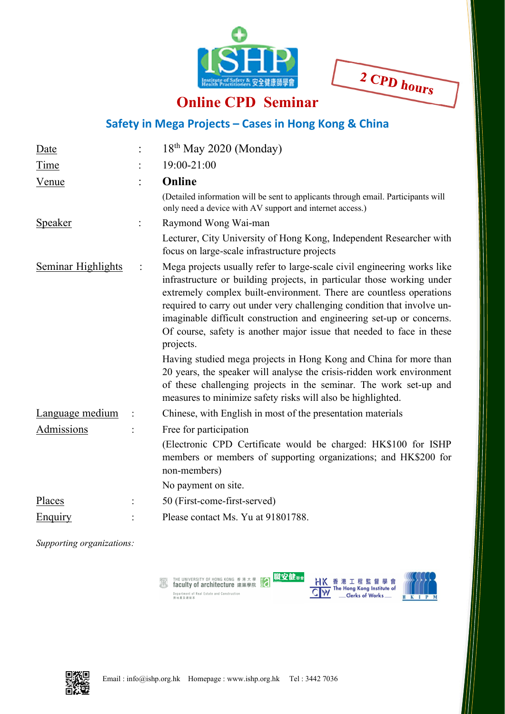

2 CPD hours

## **Online CPD Seminar**

## **Safety in Mega Projects – Cases in Hong Kong & China**

| Date                      |                | 18 <sup>th</sup> May 2020 (Monday)                                                                                                                                                                                                                                                                                                                                                                                                                                                                                                                                                                                                                                                    |  |  |  |
|---------------------------|----------------|---------------------------------------------------------------------------------------------------------------------------------------------------------------------------------------------------------------------------------------------------------------------------------------------------------------------------------------------------------------------------------------------------------------------------------------------------------------------------------------------------------------------------------------------------------------------------------------------------------------------------------------------------------------------------------------|--|--|--|
| Time                      |                | 19:00-21:00                                                                                                                                                                                                                                                                                                                                                                                                                                                                                                                                                                                                                                                                           |  |  |  |
| <u>Venue</u>              |                | Online<br>(Detailed information will be sent to applicants through email. Participants will<br>only need a device with AV support and internet access.)                                                                                                                                                                                                                                                                                                                                                                                                                                                                                                                               |  |  |  |
| <b>Speaker</b>            |                | Raymond Wong Wai-man                                                                                                                                                                                                                                                                                                                                                                                                                                                                                                                                                                                                                                                                  |  |  |  |
|                           |                | Lecturer, City University of Hong Kong, Independent Researcher with<br>focus on large-scale infrastructure projects                                                                                                                                                                                                                                                                                                                                                                                                                                                                                                                                                                   |  |  |  |
| <b>Seminar Highlights</b> | $\ddot{\cdot}$ | Mega projects usually refer to large-scale civil engineering works like<br>infrastructure or building projects, in particular those working under<br>extremely complex built-environment. There are countless operations<br>required to carry out under very challenging condition that involve un-<br>imaginable difficult construction and engineering set-up or concerns.<br>Of course, safety is another major issue that needed to face in these<br>projects.<br>Having studied mega projects in Hong Kong and China for more than<br>20 years, the speaker will analyse the crisis-ridden work environment<br>of these challenging projects in the seminar. The work set-up and |  |  |  |
|                           |                | measures to minimize safety risks will also be highlighted.                                                                                                                                                                                                                                                                                                                                                                                                                                                                                                                                                                                                                           |  |  |  |
| Language medium           |                | Chinese, with English in most of the presentation materials                                                                                                                                                                                                                                                                                                                                                                                                                                                                                                                                                                                                                           |  |  |  |
| Admissions                |                | Free for participation<br>(Electronic CPD Certificate would be charged: HK\$100 for ISHP<br>members or members of supporting organizations; and HK\$200 for<br>non-members)                                                                                                                                                                                                                                                                                                                                                                                                                                                                                                           |  |  |  |
|                           |                | No payment on site.                                                                                                                                                                                                                                                                                                                                                                                                                                                                                                                                                                                                                                                                   |  |  |  |
| <u>Places</u>             |                | 50 (First-come-first-served)                                                                                                                                                                                                                                                                                                                                                                                                                                                                                                                                                                                                                                                          |  |  |  |
| Enquiry                   |                | Please contact Ms. Yu at 91801788.                                                                                                                                                                                                                                                                                                                                                                                                                                                                                                                                                                                                                                                    |  |  |  |

*Supporting organizations:*

THE UNIVERSITY OF HONG KONG 香港大學 [12] **IQUUILY UT QIUIIIICULUIG 建架导**<br>Department of Real Estate and Construction<br>房地產及建設系